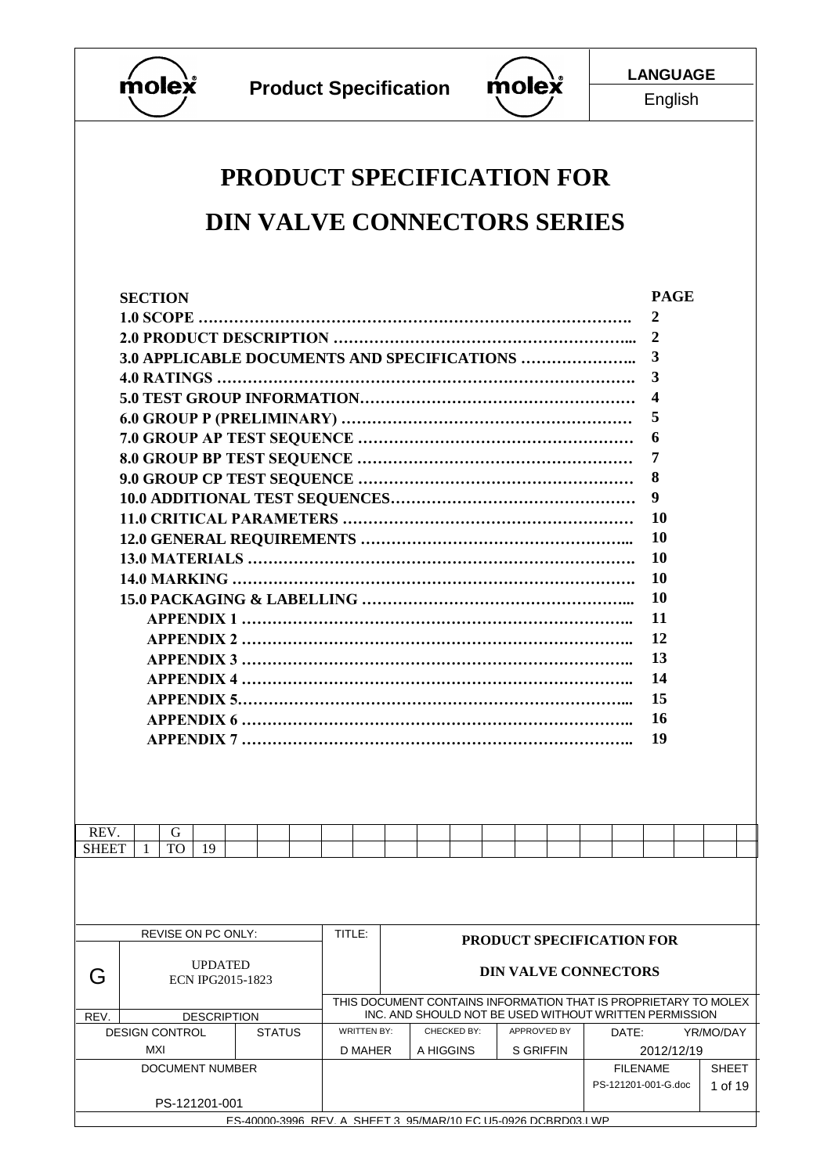



English

# **PRODUCT SPECIFICATION FOR DIN VALVE CONNECTORS SERIES**

|                                                 | <b>SECTION</b>        |           |                           |  |               |        |                    |                                                                                                                           |             |                                  |  |                 | <b>PAGE</b>         |              |  |
|-------------------------------------------------|-----------------------|-----------|---------------------------|--|---------------|--------|--------------------|---------------------------------------------------------------------------------------------------------------------------|-------------|----------------------------------|--|-----------------|---------------------|--------------|--|
|                                                 |                       |           |                           |  |               |        |                    |                                                                                                                           |             |                                  |  |                 | 2                   |              |  |
|                                                 |                       |           |                           |  |               |        |                    |                                                                                                                           |             |                                  |  |                 | $\boldsymbol{2}$    |              |  |
|                                                 |                       |           |                           |  |               |        |                    |                                                                                                                           |             |                                  |  |                 | 3                   |              |  |
|                                                 |                       |           |                           |  |               |        |                    |                                                                                                                           |             |                                  |  |                 | 3                   |              |  |
|                                                 |                       |           |                           |  |               |        |                    |                                                                                                                           |             |                                  |  |                 | 4                   |              |  |
|                                                 |                       |           |                           |  |               |        |                    |                                                                                                                           |             |                                  |  |                 | 5                   |              |  |
|                                                 |                       |           |                           |  |               |        |                    |                                                                                                                           |             |                                  |  |                 | 6                   |              |  |
|                                                 |                       |           |                           |  |               |        |                    |                                                                                                                           |             |                                  |  |                 | 7                   |              |  |
|                                                 |                       |           |                           |  |               |        |                    |                                                                                                                           |             |                                  |  |                 | 8                   |              |  |
|                                                 |                       |           |                           |  |               |        |                    |                                                                                                                           |             |                                  |  |                 | 9                   |              |  |
|                                                 |                       |           |                           |  |               |        |                    |                                                                                                                           |             |                                  |  |                 | <b>10</b>           |              |  |
|                                                 |                       |           |                           |  |               |        |                    |                                                                                                                           |             |                                  |  |                 | 10                  |              |  |
|                                                 |                       |           |                           |  |               |        |                    |                                                                                                                           |             |                                  |  |                 | 10                  |              |  |
|                                                 |                       |           |                           |  |               |        |                    |                                                                                                                           |             |                                  |  |                 | <b>10</b>           |              |  |
|                                                 |                       |           |                           |  |               |        |                    |                                                                                                                           |             |                                  |  |                 | 10                  |              |  |
|                                                 |                       |           |                           |  |               |        |                    |                                                                                                                           |             |                                  |  |                 | 11                  |              |  |
|                                                 |                       |           |                           |  |               |        |                    |                                                                                                                           |             |                                  |  |                 | 12                  |              |  |
|                                                 |                       |           |                           |  |               |        |                    |                                                                                                                           |             |                                  |  |                 | 13                  |              |  |
|                                                 |                       |           |                           |  |               |        |                    |                                                                                                                           |             |                                  |  |                 | 14                  |              |  |
|                                                 |                       |           |                           |  |               |        |                    |                                                                                                                           |             |                                  |  |                 | 15                  |              |  |
|                                                 |                       |           |                           |  |               |        |                    |                                                                                                                           |             |                                  |  |                 | <b>16</b>           |              |  |
|                                                 |                       |           |                           |  |               |        |                    |                                                                                                                           |             |                                  |  |                 | 19                  |              |  |
|                                                 |                       |           |                           |  |               |        |                    |                                                                                                                           |             |                                  |  |                 |                     |              |  |
|                                                 |                       |           |                           |  |               |        |                    |                                                                                                                           |             |                                  |  |                 |                     |              |  |
|                                                 |                       |           |                           |  |               |        |                    |                                                                                                                           |             |                                  |  |                 |                     |              |  |
|                                                 |                       |           |                           |  |               |        |                    |                                                                                                                           |             |                                  |  |                 |                     |              |  |
| REV.                                            |                       | G         |                           |  |               |        |                    |                                                                                                                           |             |                                  |  |                 |                     |              |  |
| <b>SHEET</b>                                    |                       | <b>TO</b> | 19                        |  |               |        |                    |                                                                                                                           |             |                                  |  |                 |                     |              |  |
|                                                 |                       |           |                           |  |               |        |                    |                                                                                                                           |             |                                  |  |                 |                     |              |  |
|                                                 |                       |           |                           |  |               |        |                    |                                                                                                                           |             |                                  |  |                 |                     |              |  |
|                                                 |                       |           |                           |  |               |        |                    |                                                                                                                           |             |                                  |  |                 |                     |              |  |
|                                                 |                       |           | <b>REVISE ON PC ONLY:</b> |  |               | TITLE: |                    |                                                                                                                           |             |                                  |  |                 |                     |              |  |
|                                                 |                       |           |                           |  |               |        |                    |                                                                                                                           |             | <b>PRODUCT SPECIFICATION FOR</b> |  |                 |                     |              |  |
| G                                               |                       |           | <b>UPDATED</b>            |  |               |        |                    |                                                                                                                           |             | <b>DIN VALVE CONNECTORS</b>      |  |                 |                     |              |  |
|                                                 |                       |           | <b>ECN IPG2015-1823</b>   |  |               |        |                    |                                                                                                                           |             |                                  |  |                 |                     |              |  |
| REV.                                            |                       |           | <b>DESCRIPTION</b>        |  |               |        |                    | THIS DOCUMENT CONTAINS INFORMATION THAT IS PROPRIETARY TO MOLEX<br>INC. AND SHOULD NOT BE USED WITHOUT WRITTEN PERMISSION |             |                                  |  |                 |                     |              |  |
|                                                 | <b>DESIGN CONTROL</b> |           |                           |  | <b>STATUS</b> |        | <b>WRITTEN BY:</b> |                                                                                                                           | CHECKED BY: | APPROV'ED BY                     |  | DATE:           |                     | YR/MO/DAY    |  |
| MXI<br>D MAHER<br>A HIGGINS<br><b>S GRIFFIN</b> |                       |           |                           |  | 2012/12/19    |        |                    |                                                                                                                           |             |                                  |  |                 |                     |              |  |
|                                                 |                       |           | DOCUMENT NUMBER           |  |               |        |                    |                                                                                                                           |             |                                  |  | <b>FILENAME</b> |                     | <b>SHEET</b> |  |
|                                                 |                       |           |                           |  |               |        |                    |                                                                                                                           |             |                                  |  |                 | PS-121201-001-G.doc | 1 of 19      |  |
|                                                 |                       |           | PS-121201-001             |  |               |        |                    | ES-40000-3996 REV A SHEET 3 95/MAR/10 FC U5-0926 DCBRD03 LWP                                                              |             |                                  |  |                 |                     |              |  |
|                                                 |                       |           |                           |  |               |        |                    |                                                                                                                           |             |                                  |  |                 |                     |              |  |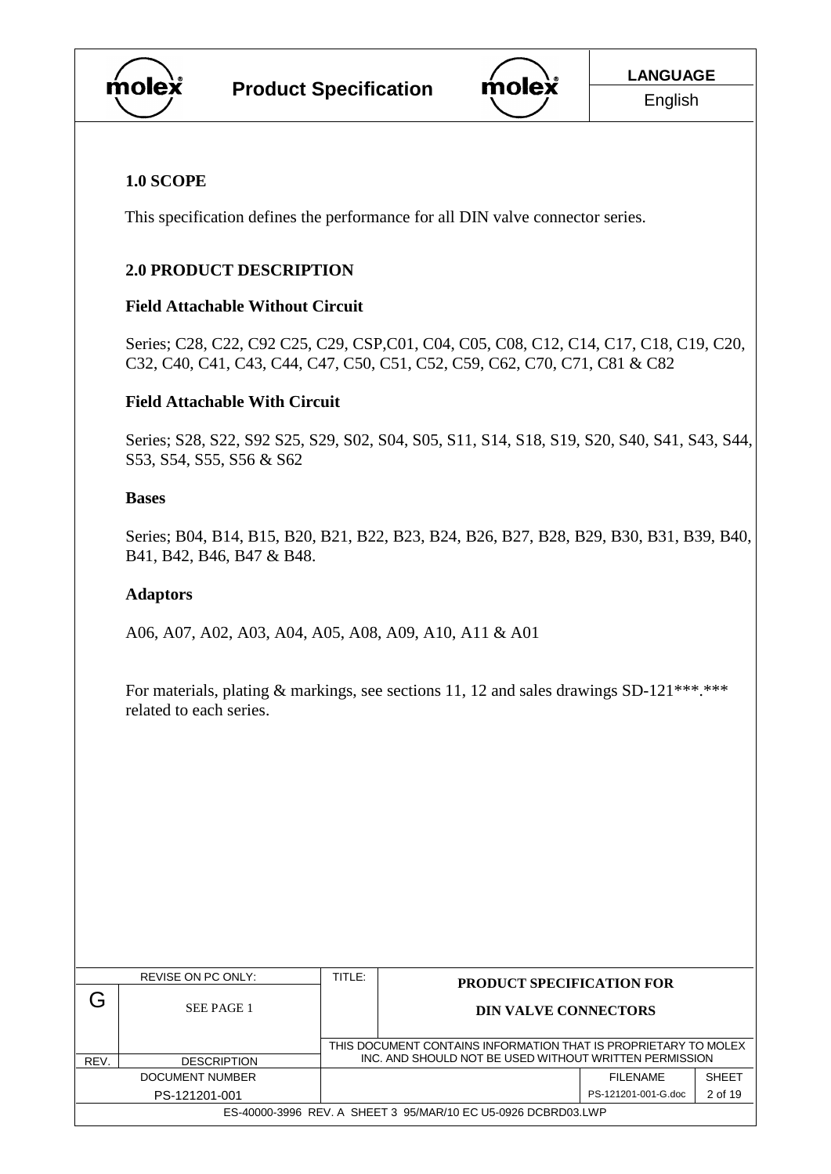



# **1.0 SCOPE**

This specification defines the performance for all DIN valve connector series.

# **2.0 PRODUCT DESCRIPTION**

# **Field Attachable Without Circuit**

Series; C28, C22, C92 C25, C29, CSP,C01, C04, C05, C08, C12, C14, C17, C18, C19, C20, C32, C40, C41, C43, C44, C47, C50, C51, C52, C59, C62, C70, C71, C81 & C82

# **Field Attachable With Circuit**

Series; S28, S22, S92 S25, S29, S02, S04, S05, S11, S14, S18, S19, S20, S40, S41, S43, S44, S53, S54, S55, S56 & S62

#### **Bases**

Series; B04, B14, B15, B20, B21, B22, B23, B24, B26, B27, B28, B29, B30, B31, B39, B40, B41, B42, B46, B47 & B48.

#### **Adaptors**

A06, A07, A02, A03, A04, A05, A08, A09, A10, A11 & A01

For materials, plating  $\&$  markings, see sections 11, 12 and sales drawings SD-121\*\*\*.\*\*\* related to each series.

|      | REVISE ON PC ONLY:                                            | TITLE: | <b>PRODUCT SPECIFICATION FOR</b>                                                                                          |                     |              |  |
|------|---------------------------------------------------------------|--------|---------------------------------------------------------------------------------------------------------------------------|---------------------|--------------|--|
|      | SEE PAGE 1                                                    |        | <b>DIN VALVE CONNECTORS</b>                                                                                               |                     |              |  |
| REV. | <b>DESCRIPTION</b>                                            |        | THIS DOCUMENT CONTAINS INFORMATION THAT IS PROPRIETARY TO MOLEX<br>INC. AND SHOULD NOT BE USED WITHOUT WRITTEN PERMISSION |                     |              |  |
|      | DOCUMENT NUMBER                                               |        |                                                                                                                           | FII FNAMF           | <b>SHEET</b> |  |
|      | PS-121201-001                                                 |        |                                                                                                                           | PS-121201-001-G.doc | 2 of 19      |  |
|      | ES-40000-3996 REV. A SHEET 3 95/MAR/10 EC U5-0926 DCBRD03.LWP |        |                                                                                                                           |                     |              |  |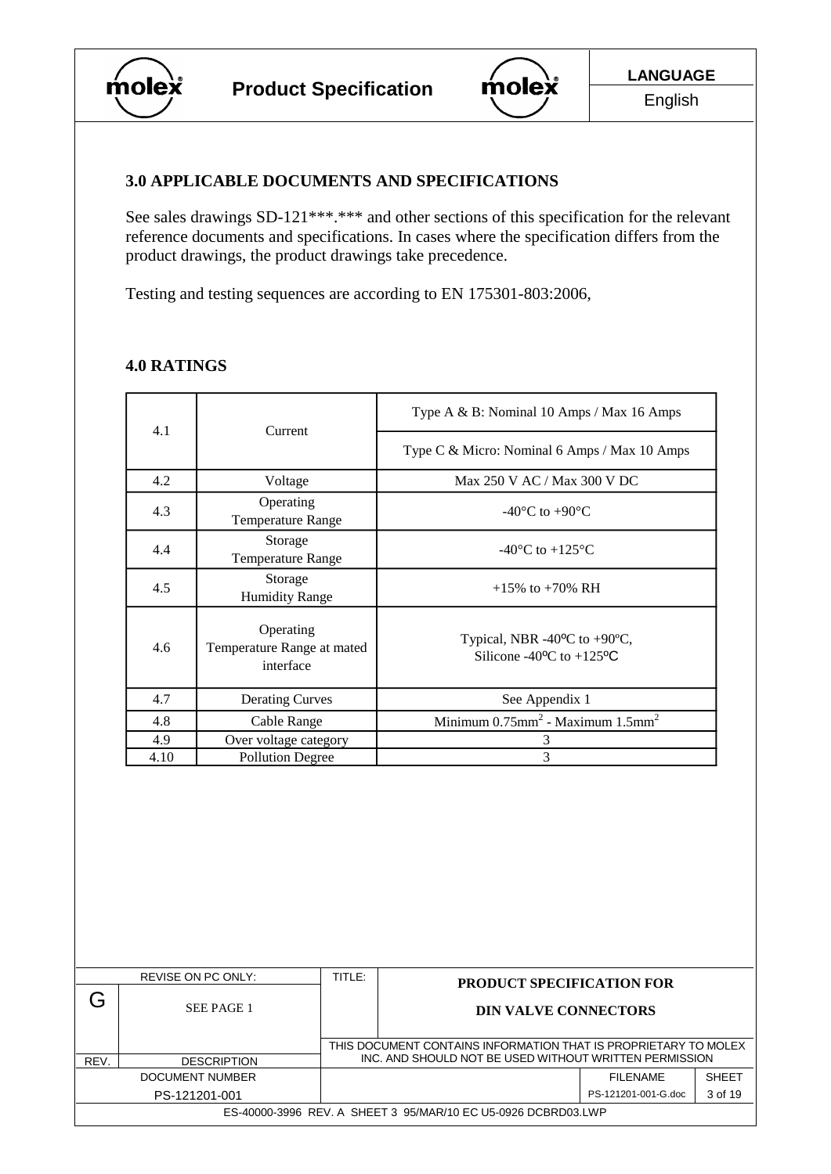



#### **3.0 APPLICABLE DOCUMENTS AND SPECIFICATIONS**

See sales drawings SD-121\*\*\*.\*\*\* and other sections of this specification for the relevant reference documents and specifications. In cases where the specification differs from the product drawings, the product drawings take precedence.

Testing and testing sequences are according to EN 175301-803:2006,

# **4.0 RATINGS**

| 4.1  | Current                                              | Type A & B: Nominal 10 Amps / Max 16 Amps                                                                    |  |  |
|------|------------------------------------------------------|--------------------------------------------------------------------------------------------------------------|--|--|
|      |                                                      | Type C & Micro: Nominal 6 Amps / Max 10 Amps                                                                 |  |  |
| 4.2  | Voltage                                              | Max 250 V AC / Max 300 V DC                                                                                  |  |  |
| 4.3  | Operating<br>Temperature Range                       | $-40^{\circ}$ C to $+90^{\circ}$ C                                                                           |  |  |
| 4.4  | Storage<br>Temperature Range                         | -40 $^{\circ}$ C to +125 $^{\circ}$ C                                                                        |  |  |
| 4.5  | Storage<br><b>Humidity Range</b>                     | $+15\%$ to $+70\%$ RH                                                                                        |  |  |
| 4.6  | Operating<br>Temperature Range at mated<br>interface | Typical, NBR -40 $^{\circ}$ C to +90 $^{\circ}$ C,<br>Silicone -40 $\rm{^{\circ}C}$ to +125 $\rm{^{\circ}C}$ |  |  |
| 4.7  | <b>Derating Curves</b>                               | See Appendix 1                                                                                               |  |  |
| 4.8  | Cable Range                                          | Minimum $0.75$ mm <sup>2</sup> - Maximum $1.5$ mm <sup>2</sup>                                               |  |  |
| 4.9  | Over voltage category                                | 3                                                                                                            |  |  |
| 4.10 | <b>Pollution Degree</b>                              | 3                                                                                                            |  |  |

|      | REVISE ON PC ONLY:                                            | TITLE:                                                          | <b>PRODUCT SPECIFICATION FOR</b>                       |                     |              |  |  |
|------|---------------------------------------------------------------|-----------------------------------------------------------------|--------------------------------------------------------|---------------------|--------------|--|--|
| J٦   | SEE PAGE 1                                                    |                                                                 | <b>DIN VALVE CONNECTORS</b>                            |                     |              |  |  |
|      |                                                               | THIS DOCUMENT CONTAINS INFORMATION THAT IS PROPRIETARY TO MOLEX |                                                        |                     |              |  |  |
| REV. | <b>DESCRIPTION</b>                                            |                                                                 | INC. AND SHOULD NOT BE USED WITHOUT WRITTEN PERMISSION |                     |              |  |  |
|      | DOCUMENT NUMBER                                               |                                                                 |                                                        | FII FNAMF           | <b>SHEFT</b> |  |  |
|      | PS-121201-001                                                 |                                                                 |                                                        | PS-121201-001-G.doc | 3 of 19      |  |  |
|      | ES-40000-3996 REV. A SHEET 3 95/MAR/10 EC U5-0926 DCBRD03.LWP |                                                                 |                                                        |                     |              |  |  |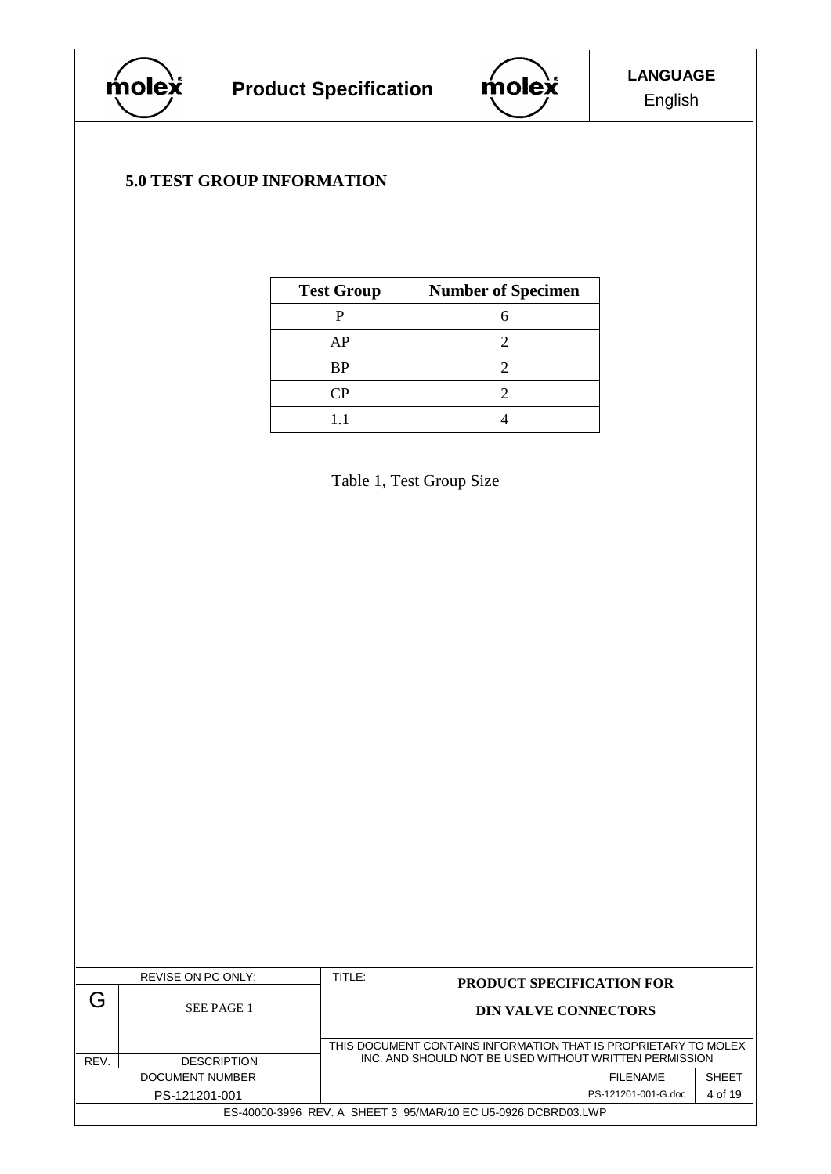



# **5.0 TEST GROUP INFORMATION**

| <b>Test Group</b>           | <b>Number of Specimen</b> |
|-----------------------------|---------------------------|
|                             |                           |
| AP                          |                           |
| BP                          |                           |
| $\mathbin{\cap} \mathsf{P}$ |                           |
|                             |                           |

Table 1, Test Group Size

|      | REVISE ON PC ONLY: | TITLE:                                                                                                                    | <b>PRODUCT SPECIFICATION FOR</b>                              |                     |              |  |  |
|------|--------------------|---------------------------------------------------------------------------------------------------------------------------|---------------------------------------------------------------|---------------------|--------------|--|--|
|      | SEE PAGE 1         |                                                                                                                           | <b>DIN VALVE CONNECTORS</b>                                   |                     |              |  |  |
|      |                    | THIS DOCUMENT CONTAINS INFORMATION THAT IS PROPRIETARY TO MOLEX<br>INC. AND SHOULD NOT BE USED WITHOUT WRITTEN PERMISSION |                                                               |                     |              |  |  |
| REV. | <b>DESCRIPTION</b> |                                                                                                                           |                                                               |                     |              |  |  |
|      | DOCUMENT NUMBER    |                                                                                                                           |                                                               | FII FNAMF           | <b>SHEFT</b> |  |  |
|      | PS-121201-001      |                                                                                                                           |                                                               | PS-121201-001-G.doc | 4 of 19      |  |  |
|      |                    |                                                                                                                           | ES-40000-3996 REV. A SHEET 3 95/MAR/10 EC U5-0926 DCBRD03.LWP |                     |              |  |  |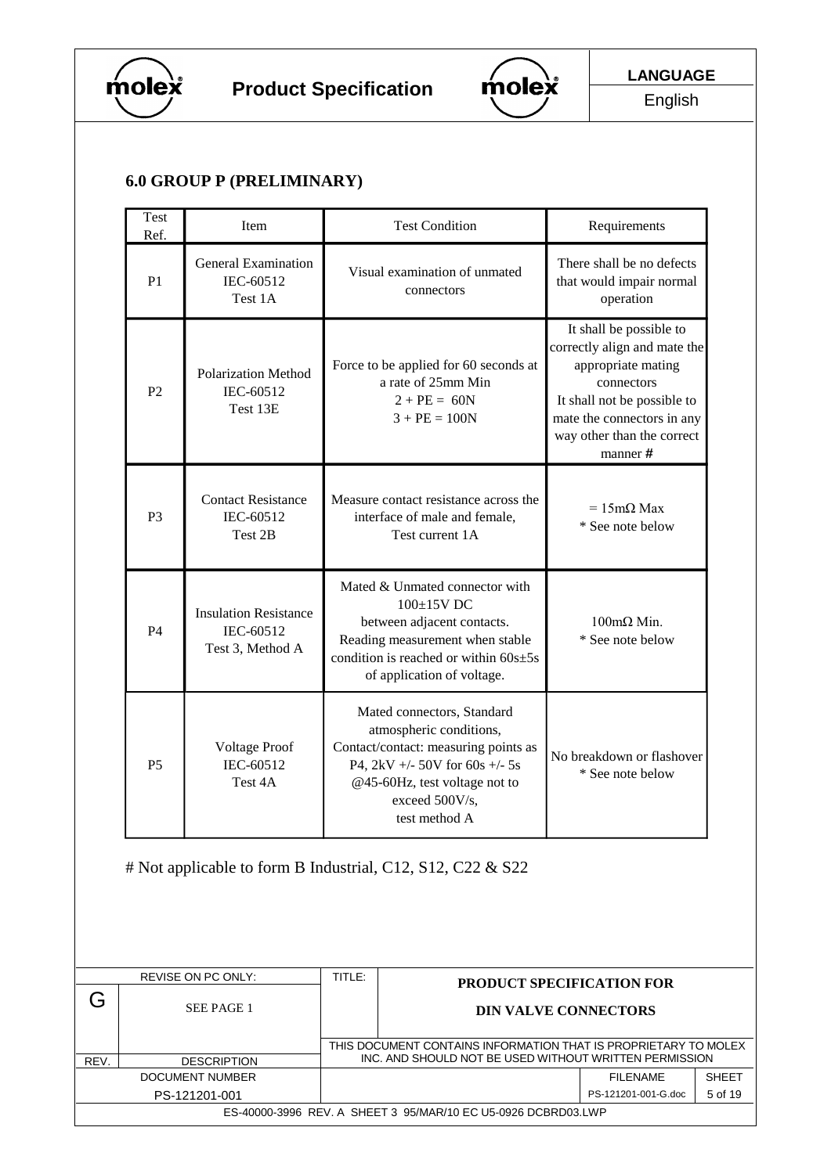



English

# **6.0 GROUP P (PRELIMINARY)**

|      | Test<br>Ref.                                                                    | Item                                               |                                                                                                                           | <b>Test Condition</b>                                                                                                                                                                               | Requirements                                                                                                                                                                                       |  |  |  |
|------|---------------------------------------------------------------------------------|----------------------------------------------------|---------------------------------------------------------------------------------------------------------------------------|-----------------------------------------------------------------------------------------------------------------------------------------------------------------------------------------------------|----------------------------------------------------------------------------------------------------------------------------------------------------------------------------------------------------|--|--|--|
|      | P <sub>1</sub>                                                                  | <b>General Examination</b><br>IEC-60512<br>Test 1A |                                                                                                                           | Visual examination of unmated<br>connectors                                                                                                                                                         | There shall be no defects<br>that would impair normal<br>operation                                                                                                                                 |  |  |  |
|      | <b>Polarization Method</b><br>P <sub>2</sub><br>IEC-60512<br>Test 13E           |                                                    |                                                                                                                           | Force to be applied for 60 seconds at<br>a rate of 25mm Min<br>$2 + PE = 60N$<br>$3 + PE = 100N$                                                                                                    | It shall be possible to<br>correctly align and mate the<br>appropriate mating<br>connectors<br>It shall not be possible to<br>mate the connectors in any<br>way other than the correct<br>manner # |  |  |  |
|      | P <sub>3</sub>                                                                  | <b>Contact Resistance</b><br>IEC-60512<br>Test 2B  |                                                                                                                           | Measure contact resistance across the<br>interface of male and female,<br>Test current 1A                                                                                                           | $= 15 \text{m}\Omega$ Max<br>* See note below                                                                                                                                                      |  |  |  |
|      | <b>Insulation Resistance</b><br>IEC-60512<br>P <sub>4</sub><br>Test 3, Method A |                                                    |                                                                                                                           | Mated & Unmated connector with<br>100±15V DC<br>between adjacent contacts.<br>Reading measurement when stable<br>condition is reached or within $60s \pm 5s$<br>of application of voltage.          | $100$ mΩ Min.<br>* See note below                                                                                                                                                                  |  |  |  |
|      | P <sub>5</sub>                                                                  | <b>Voltage Proof</b><br>IEC-60512<br>Test 4A       |                                                                                                                           | Mated connectors, Standard<br>atmospheric conditions,<br>Contact/contact: measuring points as<br>P4, 2kV +/- 50V for 60s +/- 5s<br>@45-60Hz, test voltage not to<br>exceed 500V/s,<br>test method A | No breakdown or flashover<br>* See note below                                                                                                                                                      |  |  |  |
|      | # Not applicable to form B Industrial, C12, S12, C22 & S22                      |                                                    |                                                                                                                           |                                                                                                                                                                                                     |                                                                                                                                                                                                    |  |  |  |
|      |                                                                                 | REVISE ON PC ONLY:                                 | TITLE:                                                                                                                    |                                                                                                                                                                                                     | PRODUCT SPECIFICATION FOR                                                                                                                                                                          |  |  |  |
| Ġ    |                                                                                 | SEE PAGE 1                                         |                                                                                                                           |                                                                                                                                                                                                     | <b>DIN VALVE CONNECTORS</b>                                                                                                                                                                        |  |  |  |
| REV. |                                                                                 | <b>DESCRIPTION</b>                                 | THIS DOCUMENT CONTAINS INFORMATION THAT IS PROPRIETARY TO MOLEX<br>INC. AND SHOULD NOT BE USED WITHOUT WRITTEN PERMISSION |                                                                                                                                                                                                     |                                                                                                                                                                                                    |  |  |  |

DOCUMENT NUMBER **FILENAME** SHEET PS-121201-001 **PS-121201-001** PS-121201-001-G.doc 5 of 19 ES-40000-3996 REV. A SHEET 3 95/MAR/10 EC U5-0926 DCBRD03.LWP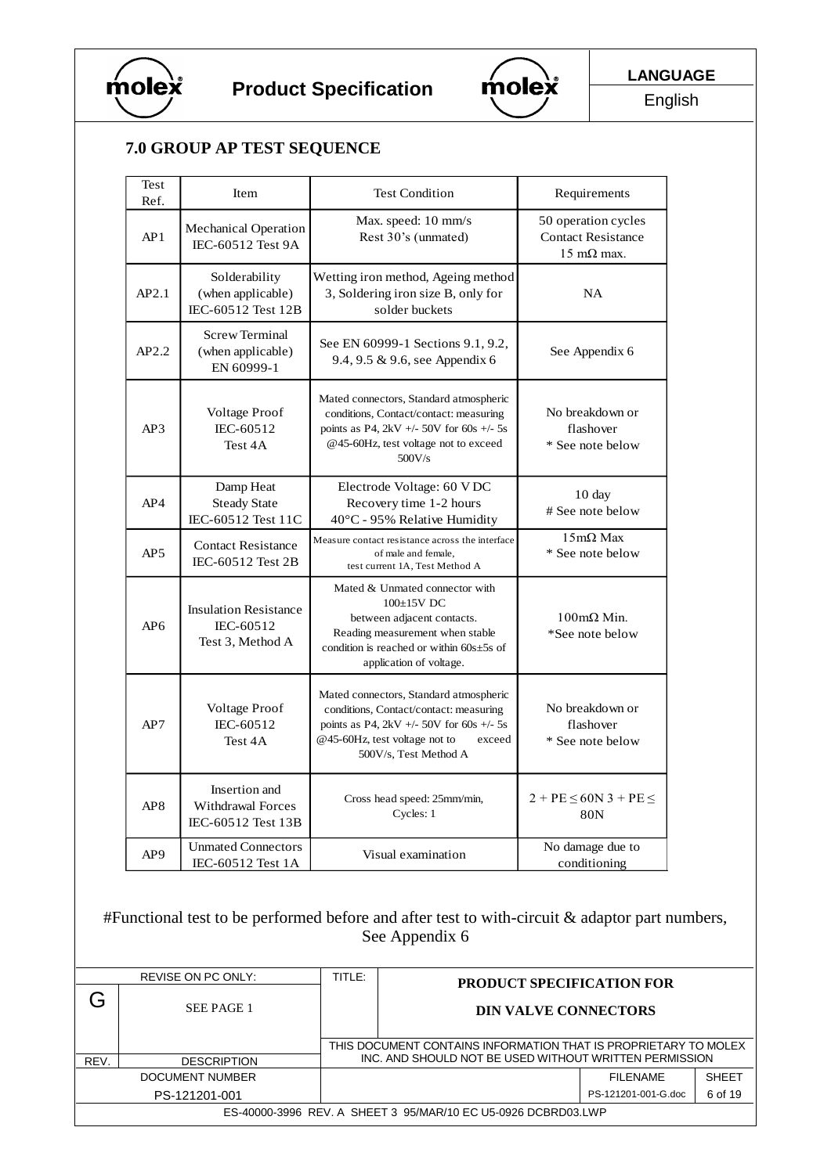



English

# **7.0 GROUP AP TEST SEQUENCE**

| Test<br>Ref.    | Item                                                            | <b>Test Condition</b>                                                                                                                                                                            | Requirements                                                             |
|-----------------|-----------------------------------------------------------------|--------------------------------------------------------------------------------------------------------------------------------------------------------------------------------------------------|--------------------------------------------------------------------------|
| AP1             | <b>Mechanical Operation</b><br>IEC-60512 Test 9A                | Max. speed: 10 mm/s<br>Rest 30's (unmated)                                                                                                                                                       | 50 operation cycles<br><b>Contact Resistance</b><br>$15 \text{ mA}$ max. |
| AP2.1           | Solderability<br>(when applicable)<br>IEC-60512 Test 12B        | Wetting iron method, Ageing method<br>3, Soldering iron size B, only for<br>solder buckets                                                                                                       | <b>NA</b>                                                                |
| AP2.2           | <b>Screw Terminal</b><br>(when applicable)<br>EN 60999-1        | See EN 60999-1 Sections 9.1, 9.2,<br>9.4, 9.5 & 9.6, see Appendix 6                                                                                                                              | See Appendix 6                                                           |
| AP3             | <b>Voltage Proof</b><br>IEC-60512<br>Test 4A                    | Mated connectors, Standard atmospheric<br>conditions, Contact/contact: measuring<br>points as P4, 2kV +/- 50V for 60s +/- 5s<br>@45-60Hz, test voltage not to exceed<br>500V/s                   | No breakdown or<br>flashover<br>* See note below                         |
| AP4             | Damp Heat<br><b>Steady State</b><br>IEC-60512 Test 11C          | Electrode Voltage: 60 VDC<br>Recovery time 1-2 hours<br>$40^{\circ}$ C - 95% Relative Humidity                                                                                                   | $10 \text{ day}$<br># See note below                                     |
| AP5             | <b>Contact Resistance</b><br>IEC-60512 Test 2B                  | Measure contact resistance across the interface<br>of male and female,<br>test current 1A, Test Method A                                                                                         | $15 \text{m}\Omega$ Max<br>* See note below                              |
| AP <sub>6</sub> | <b>Insulation Resistance</b><br>IEC-60512<br>Test 3, Method A   | Mated & Unmated connector with<br>100±15V DC<br>between adjacent contacts.<br>Reading measurement when stable<br>condition is reached or within $60s \pm 5s$ of<br>application of voltage.       | $100 \text{m}\Omega$ Min.<br>*See note below                             |
| AP7             | Voltage Proof<br>IEC-60512<br>Test 4A                           | Mated connectors, Standard atmospheric<br>conditions, Contact/contact: measuring<br>points as P4, 2kV +/- 50V for 60s +/- 5s<br>@45-60Hz, test voltage not to<br>exceed<br>500V/s, Test Method A | No breakdown or<br>flashover<br>* See note below                         |
| AP8             | Insertion and<br><b>Withdrawal Forces</b><br>IEC-60512 Test 13B | Cross head speed: 25mm/min,<br>Cycles: 1                                                                                                                                                         | $2 + PE \le 60N$ 3 + PE $\le$<br>80 <sub>N</sub>                         |
| AP <sub>9</sub> | <b>Unmated Connectors</b><br>IEC-60512 Test 1A                  | Visual examination                                                                                                                                                                               | No damage due to<br>conditioning                                         |

#Functional test to be performed before and after test to with-circuit & adaptor part numbers, See Appendix 6

|      | REVISE ON PC ONLY: | TITLE:                                                                                                                    | <b>PRODUCT SPECIFICATION FOR</b>                              |                     |              |  |
|------|--------------------|---------------------------------------------------------------------------------------------------------------------------|---------------------------------------------------------------|---------------------|--------------|--|
|      | SEE PAGE 1         |                                                                                                                           | <b>DIN VALVE CONNECTORS</b>                                   |                     |              |  |
|      |                    | THIS DOCUMENT CONTAINS INFORMATION THAT IS PROPRIETARY TO MOLEX<br>INC. AND SHOULD NOT BE USED WITHOUT WRITTEN PERMISSION |                                                               |                     |              |  |
| REV. | <b>DESCRIPTION</b> |                                                                                                                           |                                                               |                     |              |  |
|      | DOCUMENT NUMBER    |                                                                                                                           |                                                               | FII FNAMF           | <b>SHEET</b> |  |
|      | PS-121201-001      |                                                                                                                           |                                                               | PS-121201-001-G.doc | 6 of 19      |  |
|      |                    |                                                                                                                           | ES-40000-3996 REV. A SHEET 3 95/MAR/10 EC U5-0926 DCBRD03.LWP |                     |              |  |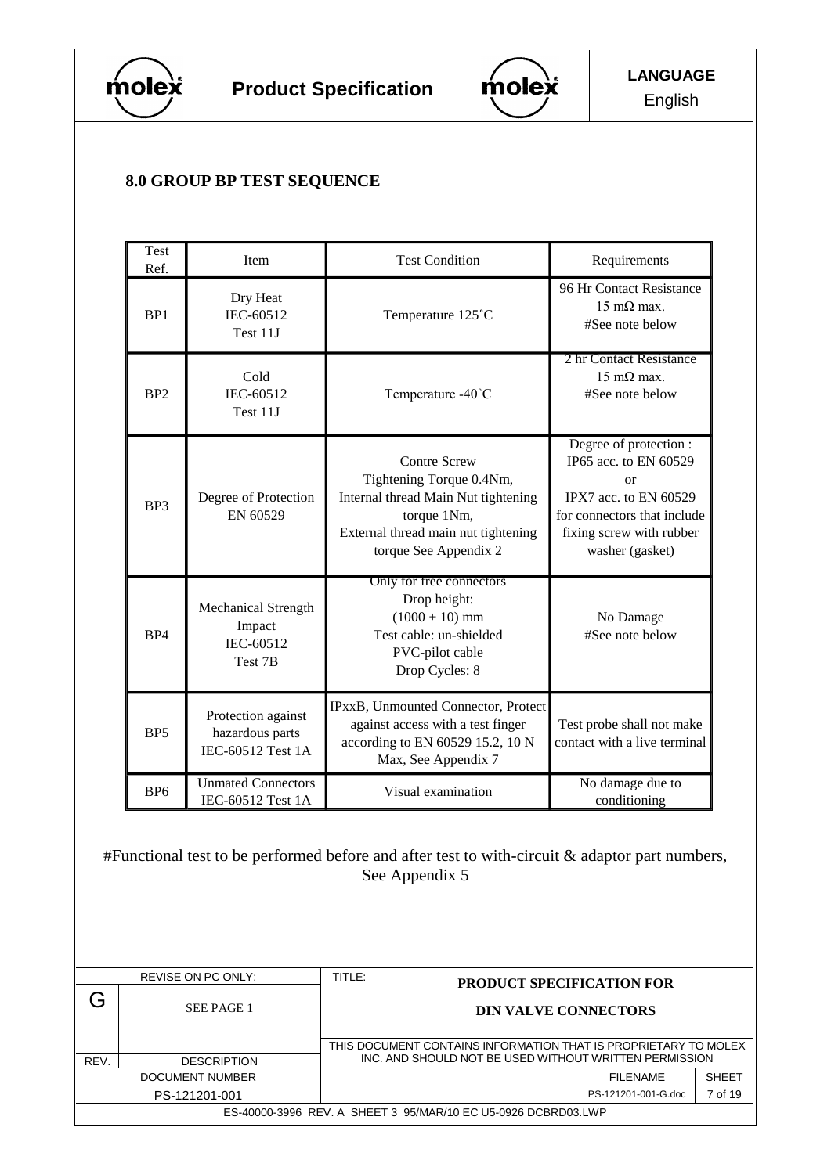



English

# **8.0 GROUP BP TEST SEQUENCE**

|   | Test<br>Item<br>Ref.                                                |                                                            |        | <b>Test Condition</b>                                                                                                                                                 | Requirements                                                                                                                                                 |  |
|---|---------------------------------------------------------------------|------------------------------------------------------------|--------|-----------------------------------------------------------------------------------------------------------------------------------------------------------------------|--------------------------------------------------------------------------------------------------------------------------------------------------------------|--|
|   | BP1                                                                 | Dry Heat<br>IEC-60512<br>Test 11J                          |        | Temperature 125°C                                                                                                                                                     | 96 Hr Contact Resistance<br>$15 \text{ mA}$ max.<br>#See note below                                                                                          |  |
|   | BP <sub>2</sub>                                                     | Cold<br>IEC-60512<br>Test 11J                              |        | Temperature -40°C                                                                                                                                                     | 2 hr Contact Resistance<br>$15 \text{ mA}$ max.<br>#See note below                                                                                           |  |
|   | BP3                                                                 | Degree of Protection<br>EN 60529                           |        | <b>Contre Screw</b><br>Tightening Torque 0.4Nm,<br>Internal thread Main Nut tightening<br>torque 1Nm,<br>External thread main nut tightening<br>torque See Appendix 2 | Degree of protection :<br>IP65 acc. to EN 60529<br>or<br>IPX7 acc. to EN 60529<br>for connectors that include<br>fixing screw with rubber<br>washer (gasket) |  |
|   | <b>Mechanical Strength</b><br>Impact<br>BP4<br>IEC-60512<br>Test 7B |                                                            |        | Only for free connectors<br>Drop height:<br>$(1000 \pm 10)$ mm<br>Test cable: un-shielded<br>PVC-pilot cable<br>Drop Cycles: 8                                        | No Damage<br>#See note below                                                                                                                                 |  |
|   | BP <sub>5</sub>                                                     | Protection against<br>hazardous parts<br>IEC-60512 Test 1A |        | IPxxB, Unmounted Connector, Protect<br>against access with a test finger<br>according to EN 60529 15.2, 10 N<br>Max, See Appendix 7                                   | Test probe shall not make<br>contact with a live terminal                                                                                                    |  |
|   | BP <sub>6</sub>                                                     | <b>Unmated Connectors</b><br>IEC-60512 Test 1A             |        | Visual examination                                                                                                                                                    | No damage due to<br>conditioning                                                                                                                             |  |
|   |                                                                     |                                                            |        | See Appendix 5                                                                                                                                                        | #Functional test to be performed before and after test to with-circuit & adaptor part numbers,                                                               |  |
|   |                                                                     | REVISE ON PC ONLY:                                         | TITLE: |                                                                                                                                                                       | PRODUCT SPECIFICATION FOR                                                                                                                                    |  |
| G |                                                                     | SEE PAGE 1                                                 |        |                                                                                                                                                                       | <b>DIN VALVE CONNECTORS</b>                                                                                                                                  |  |
|   |                                                                     |                                                            |        |                                                                                                                                                                       | THIS DOCUMENT CONTAINS INFORMATION THAT IS PROPRIETARY TO MOLEX                                                                                              |  |

REV. **DESCRIPTION CONTROLLY SHOULD NOT BE USED WITHOUT WRITTEN PERMISSION** DOCUMENT NUMBER **FILENAME** SHEET PS-121201-001 **PS-121201-001** PS-121201-001-G.doc 7 of 19 ES-40000-3996 REV. A SHEET 3 95/MAR/10 EC U5-0926 DCBRD03.LWP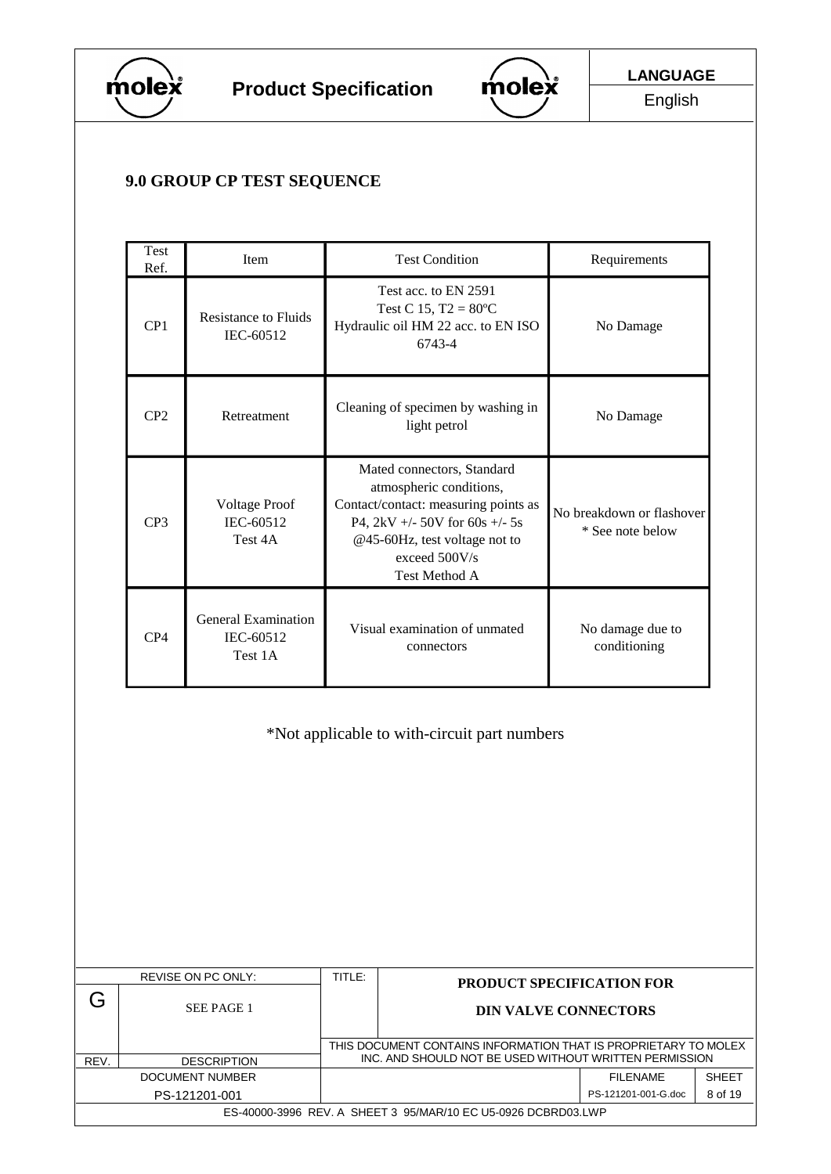



# **9.0 GROUP CP TEST SEQUENCE**

| Test<br>Ref.                                 | Item                                               | <b>Test Condition</b>                                                                                                                                                                                       | Requirements                                  |  |  |  |
|----------------------------------------------|----------------------------------------------------|-------------------------------------------------------------------------------------------------------------------------------------------------------------------------------------------------------------|-----------------------------------------------|--|--|--|
| CP1                                          | <b>Resistance to Fluids</b><br>IEC-60512           | Test acc. to EN 2591<br>Test C 15, $T2 = 80^{\circ}C$<br>Hydraulic oil HM 22 acc. to EN ISO<br>6743-4                                                                                                       | No Damage                                     |  |  |  |
| CP <sub>2</sub>                              | Retreatment                                        | Cleaning of specimen by washing in<br>light petrol                                                                                                                                                          | No Damage                                     |  |  |  |
| CP <sub>3</sub>                              | <b>Voltage Proof</b><br>IEC-60512<br>Test 4A       | Mated connectors, Standard<br>atmospheric conditions,<br>Contact/contact: measuring points as<br>P4, 2kV +/- 50V for 60s +/- 5s<br>@45-60Hz, test voltage not to<br>exceed $500V/s$<br><b>Test Method A</b> | No breakdown or flashover<br>* See note below |  |  |  |
| CP4                                          | <b>General Examination</b><br>IEC-60512<br>Test 1A | Visual examination of unmated<br>connectors                                                                                                                                                                 | No damage due to<br>conditioning              |  |  |  |
| *Not applicable to with-circuit part numbers |                                                    |                                                                                                                                                                                                             |                                               |  |  |  |

|      | REVISE ON PC ONLY:                                            | TITLE: | <b>PRODUCT SPECIFICATION FOR</b>                                                                                          |                     |              |  |  |
|------|---------------------------------------------------------------|--------|---------------------------------------------------------------------------------------------------------------------------|---------------------|--------------|--|--|
|      | SEE PAGE 1                                                    |        | <b>DIN VALVE CONNECTORS</b>                                                                                               |                     |              |  |  |
| REV. | <b>DESCRIPTION</b>                                            |        | THIS DOCUMENT CONTAINS INFORMATION THAT IS PROPRIETARY TO MOLEX<br>INC. AND SHOULD NOT BE USED WITHOUT WRITTEN PERMISSION |                     |              |  |  |
|      | DOCUMENT NUMBER                                               |        |                                                                                                                           | FII FNAMF           | <b>SHEFT</b> |  |  |
|      | PS-121201-001                                                 |        |                                                                                                                           | PS-121201-001-G.doc | 8 of 19      |  |  |
|      | ES-40000-3996 REV. A SHEET 3 95/MAR/10 EC U5-0926 DCBRD03.LWP |        |                                                                                                                           |                     |              |  |  |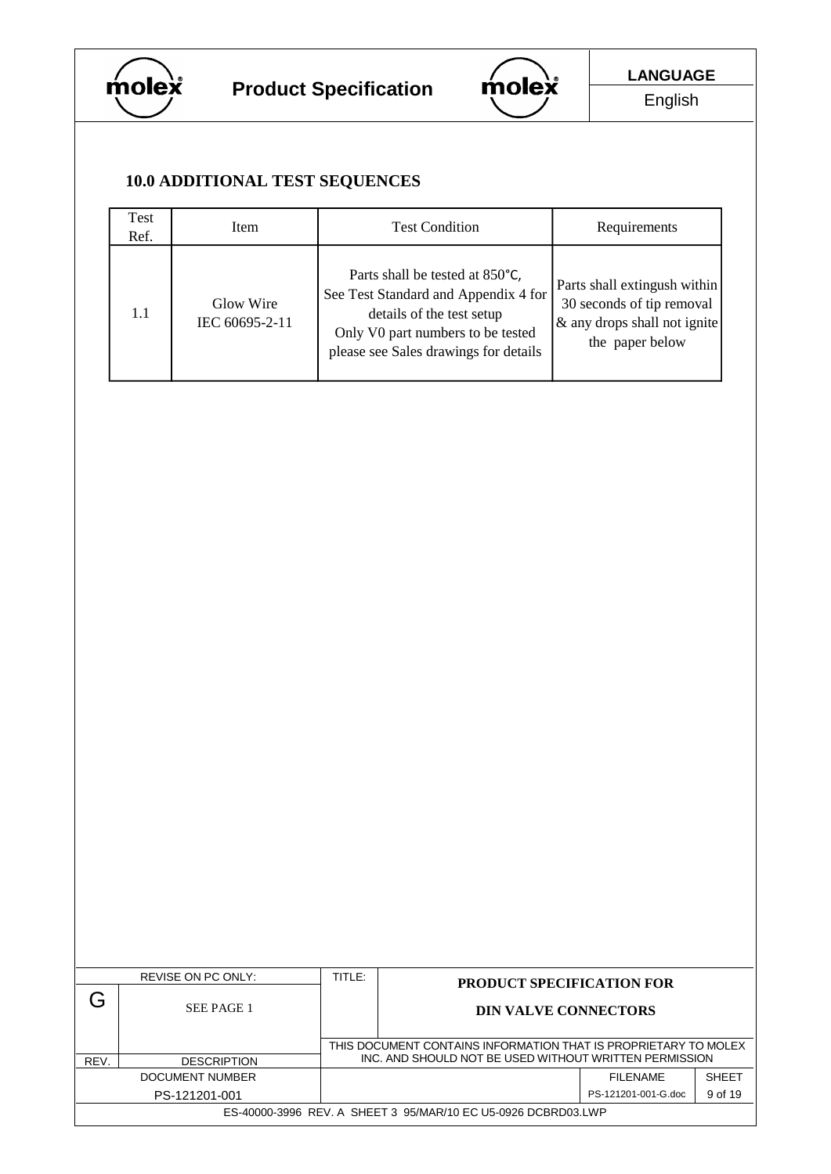



English

# **10.0 ADDITIONAL TEST SEQUENCES**

| Test<br>Ref. | Item                        | <b>Test Condition</b>                                                                                                                                                              | Requirements                                                                                                 |
|--------------|-----------------------------|------------------------------------------------------------------------------------------------------------------------------------------------------------------------------------|--------------------------------------------------------------------------------------------------------------|
| 1.1          | Glow Wire<br>IEC 60695-2-11 | Parts shall be tested at 850°C,<br>See Test Standard and Appendix 4 for<br>details of the test setup<br>Only V0 part numbers to be tested<br>please see Sales drawings for details | Parts shall extingush within<br>30 seconds of tip removal<br>& any drops shall not ignite<br>the paper below |

| REVISE ON PC ONLY:                                            |                    | TITLE:                                                                                                                    | <b>PRODUCT SPECIFICATION FOR</b> |                     |              |
|---------------------------------------------------------------|--------------------|---------------------------------------------------------------------------------------------------------------------------|----------------------------------|---------------------|--------------|
|                                                               | SEE PAGE 1         |                                                                                                                           | <b>DIN VALVE CONNECTORS</b>      |                     |              |
|                                                               |                    | THIS DOCUMENT CONTAINS INFORMATION THAT IS PROPRIETARY TO MOLEX<br>INC. AND SHOULD NOT BE USED WITHOUT WRITTEN PERMISSION |                                  |                     |              |
| REV.                                                          | <b>DESCRIPTION</b> |                                                                                                                           |                                  |                     |              |
| DOCUMENT NUMBER                                               |                    |                                                                                                                           |                                  | <b>FILENAME</b>     | <b>SHEET</b> |
|                                                               | PS-121201-001      |                                                                                                                           |                                  | PS-121201-001-G.doc | 9 of 19      |
| ES-40000-3996 REV. A SHEET 3 95/MAR/10 EC U5-0926 DCBRD03.LWP |                    |                                                                                                                           |                                  |                     |              |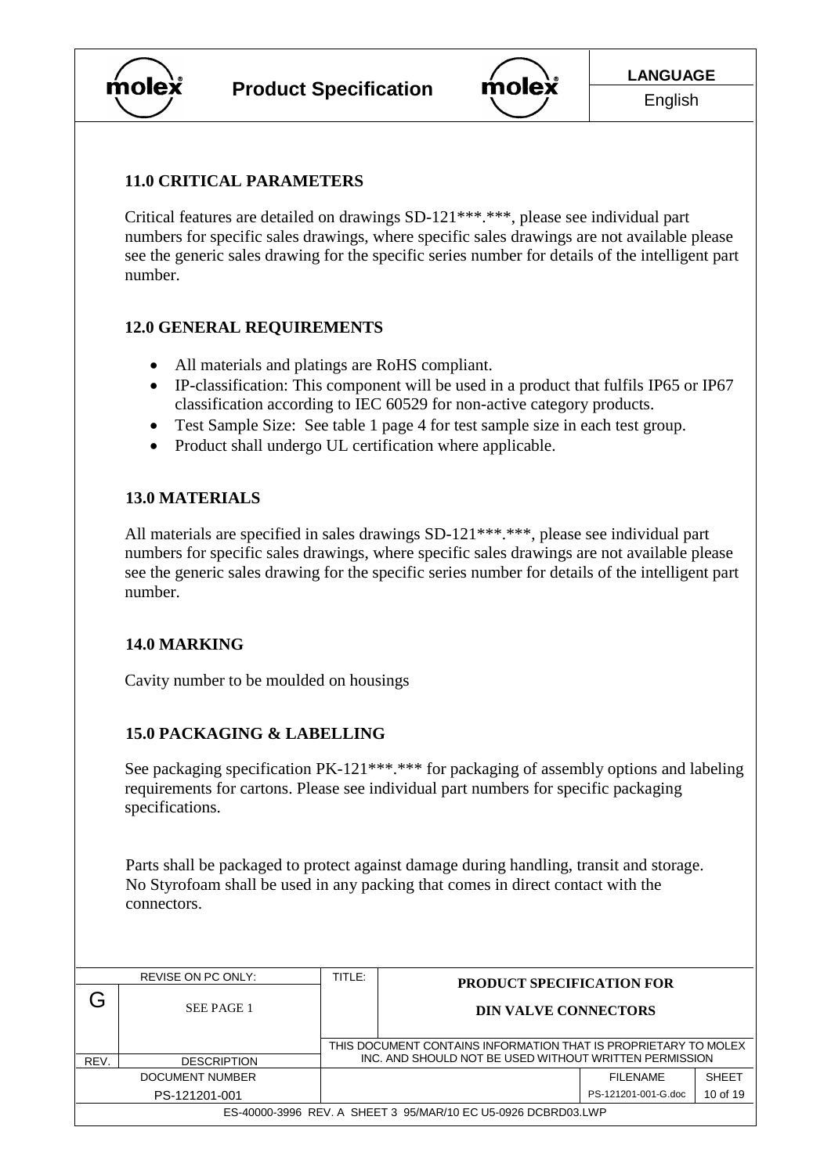



#### **11.0 CRITICAL PARAMETERS**

Critical features are detailed on drawings SD-121\*\*\*.\*\*\*, please see individual part numbers for specific sales drawings, where specific sales drawings are not available please see the generic sales drawing for the specific series number for details of the intelligent part number.

#### **12.0 GENERAL REQUIREMENTS**

- All materials and platings are RoHS compliant.
- IP-classification: This component will be used in a product that fulfils IP65 or IP67 classification according to IEC 60529 for non-active category products.
- Test Sample Size: See table 1 page 4 for test sample size in each test group.
- Product shall undergo UL certification where applicable.

# **13.0 MATERIALS**

All materials are specified in sales drawings SD-121\*\*\*.\*\*\*, please see individual part numbers for specific sales drawings, where specific sales drawings are not available please see the generic sales drawing for the specific series number for details of the intelligent part number.

#### **14.0 MARKING**

Cavity number to be moulded on housings

# **15.0 PACKAGING & LABELLING**

See packaging specification PK-121\*\*\*.\*\*\* for packaging of assembly options and labeling requirements for cartons. Please see individual part numbers for specific packaging specifications.

Parts shall be packaged to protect against damage during handling, transit and storage. No Styrofoam shall be used in any packing that comes in direct contact with the connectors.

| REVISE ON PC ONLY:                                            |                    | TITLE:                                                                                                                    | <b>PRODUCT SPECIFICATION FOR</b> |                     |              |
|---------------------------------------------------------------|--------------------|---------------------------------------------------------------------------------------------------------------------------|----------------------------------|---------------------|--------------|
|                                                               | <b>SEE PAGE 1</b>  |                                                                                                                           | <b>DIN VALVE CONNECTORS</b>      |                     |              |
| REV.                                                          | <b>DESCRIPTION</b> | THIS DOCUMENT CONTAINS INFORMATION THAT IS PROPRIETARY TO MOLEX<br>INC. AND SHOULD NOT BE USED WITHOUT WRITTEN PERMISSION |                                  |                     |              |
|                                                               | DOCUMENT NUMBER    |                                                                                                                           |                                  | <b>FILENAME</b>     | <b>SHEET</b> |
|                                                               | PS-121201-001      |                                                                                                                           |                                  | PS-121201-001-G.doc | 10 of 19     |
| ES-40000-3996 REV. A SHEET 3 95/MAR/10 EC U5-0926 DCBRD03.LWP |                    |                                                                                                                           |                                  |                     |              |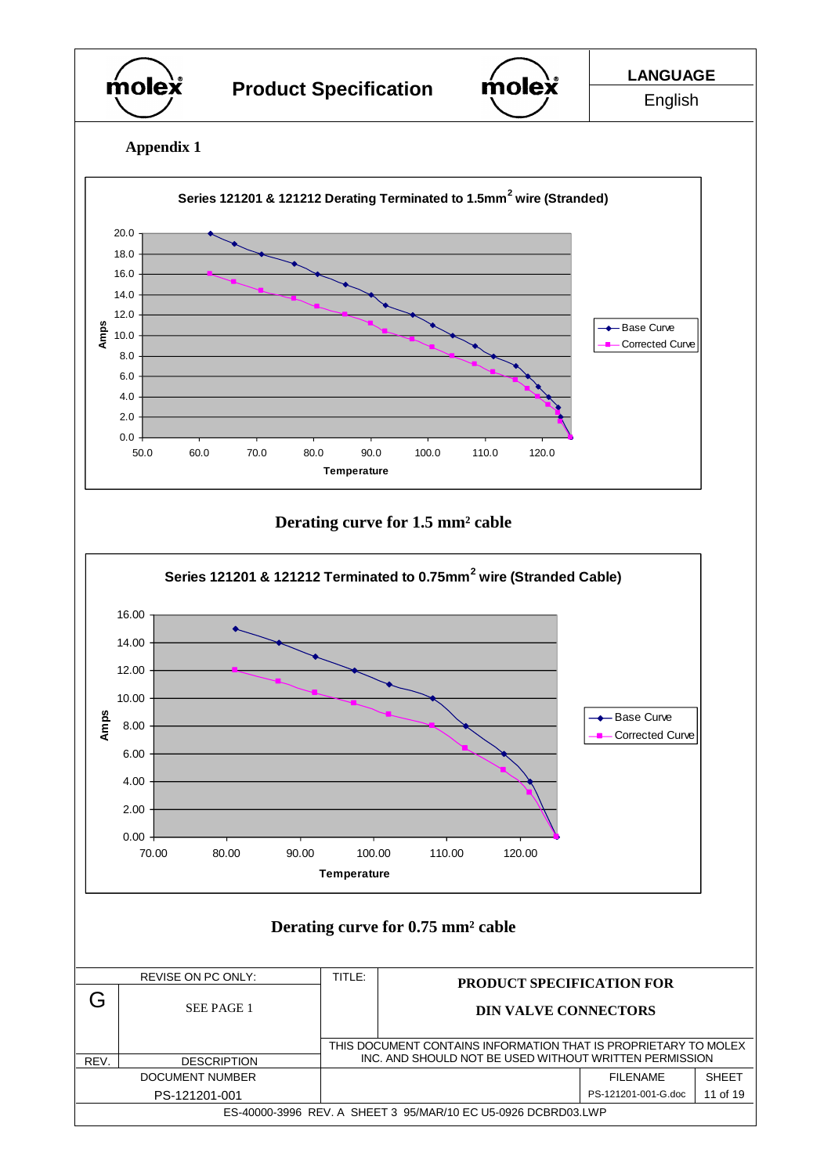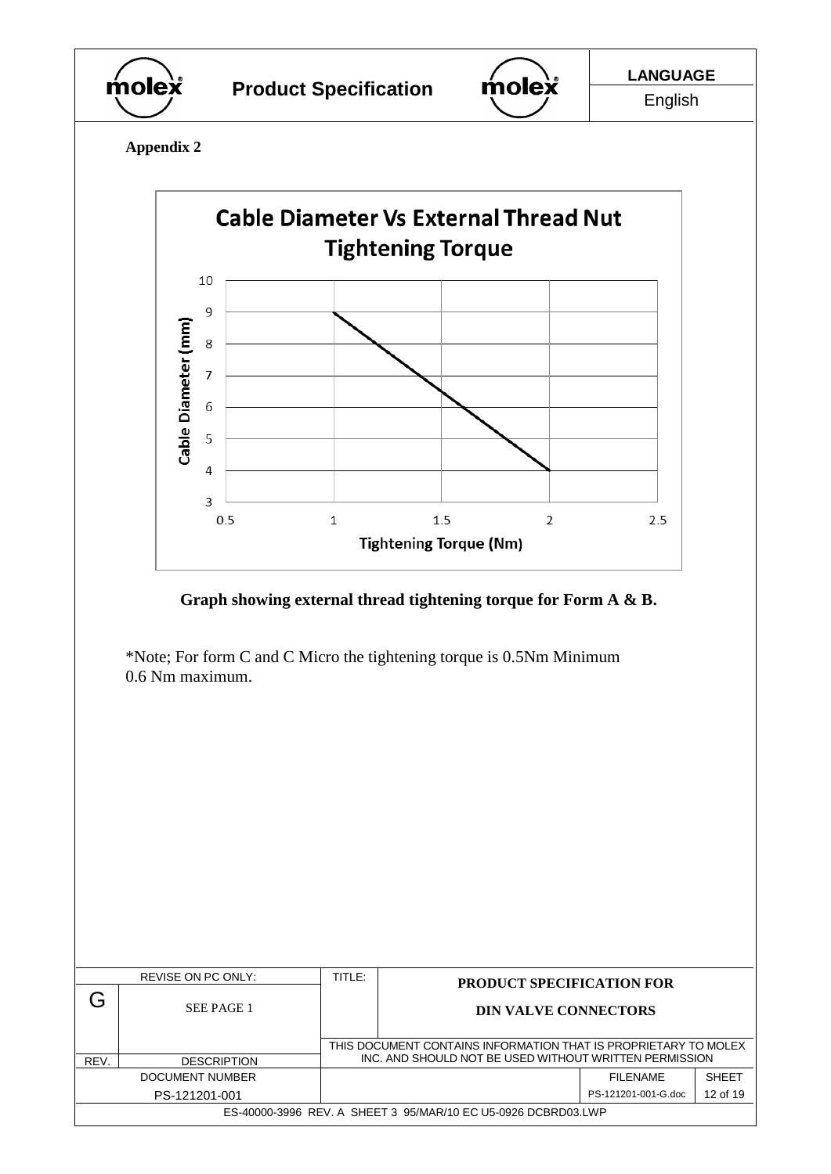



English

**Appendix 2**

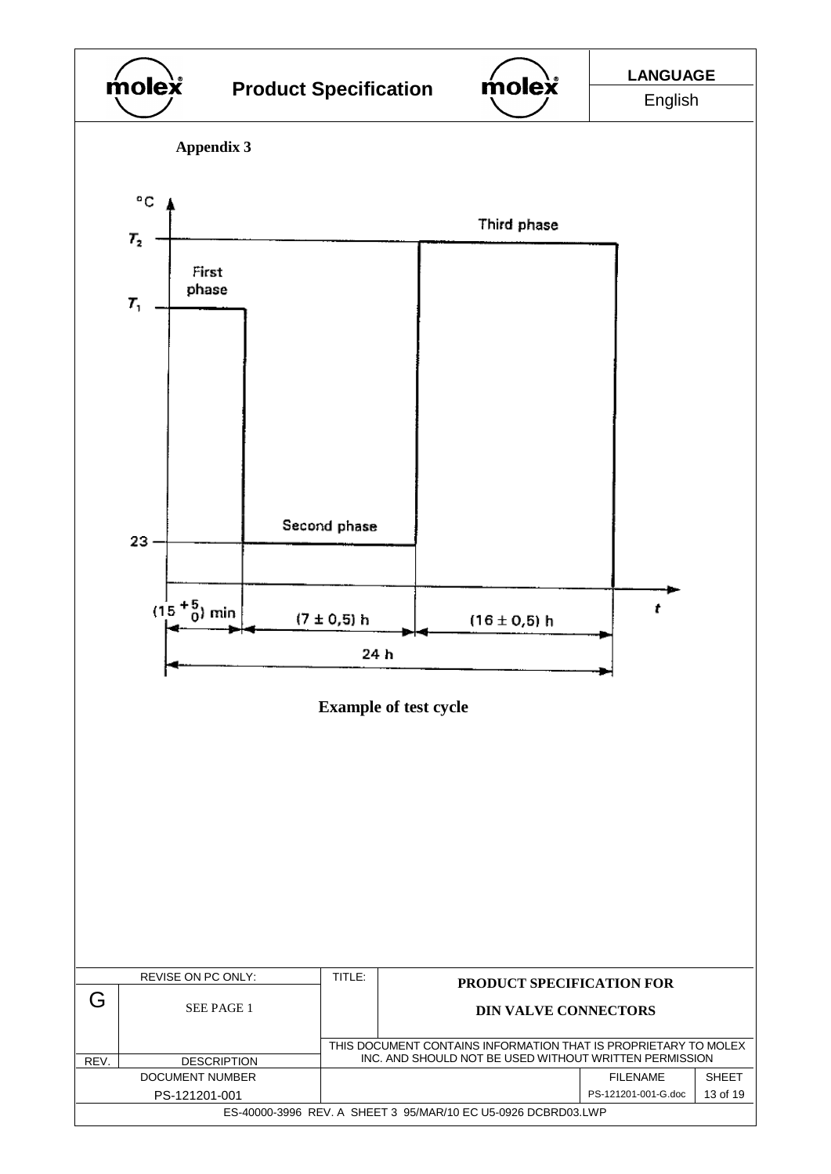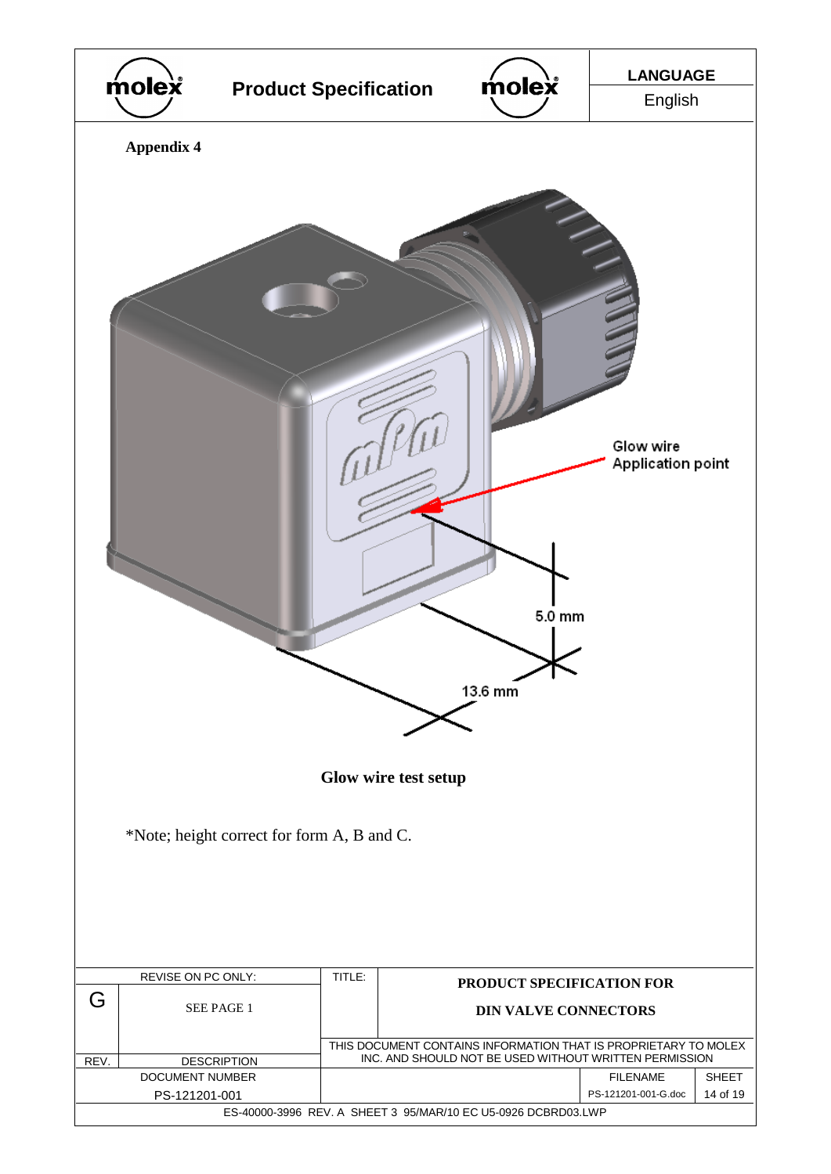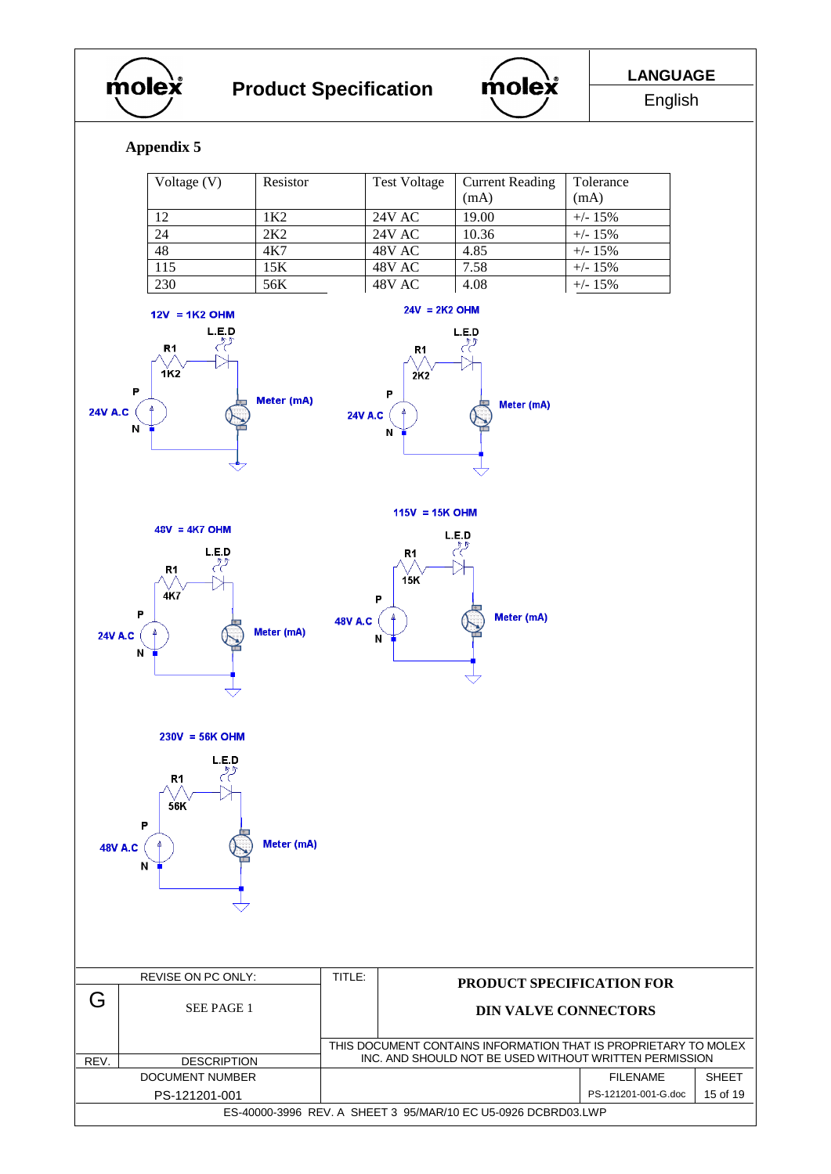



# **Appendix 5**

| Voltage $(V)$ | Resistor | <b>Test Voltage</b> | <b>Current Reading</b><br>(mA) | Tolerance<br>(mA) |
|---------------|----------|---------------------|--------------------------------|-------------------|
| 12            | 1K2.     | 24V AC              | 19.00                          | $+/- 15\%$        |
| 24            | 2K2      | 24V AC              | 10.36                          | $+/- 15%$         |
| 48            | 4K7      | 48V AC              | 4.85                           | $+/- 15%$         |
| 115           | 15K      | 48V AC              | 7.58                           | $+/- 15%$         |
| 230           | 56K      | 48V AC              | 4.08                           | $+/- 15\%$        |





 $48V = 4K7$  OHM

 $R<sub>1</sub>$ 

 $4K7$ 

P

N

**24V A.C** 

 $L.E.D$ 

 $24V = 2K2$  OHM

 $R<sub>1</sub>$ 

 $2K2$ 

 $\overline{P}$ 

 $\mathbf{N}$ 

P

 $\overline{N}$ 

 $\uparrow$ 

48V A.C (

Meter (mA)

 $\ddot{\phi}$ 

24V A.C $($ 

 $L.E.D$ لرحم



 $L.E.D$ R<sub>1</sub>  $15K$ 

 $115V = 15K$  OHM

Meter (mA)



|                                                               | REVISE ON PC ONLY: | TITLE:                                                                                                                    | <b>PRODUCT SPECIFICATION FOR</b> |                     |              |
|---------------------------------------------------------------|--------------------|---------------------------------------------------------------------------------------------------------------------------|----------------------------------|---------------------|--------------|
|                                                               | SEE PAGE 1         |                                                                                                                           | <b>DIN VALVE CONNECTORS</b>      |                     |              |
| REV.                                                          | <b>DESCRIPTION</b> | THIS DOCUMENT CONTAINS INFORMATION THAT IS PROPRIETARY TO MOLEX<br>INC. AND SHOULD NOT BE USED WITHOUT WRITTEN PERMISSION |                                  |                     |              |
|                                                               | DOCUMENT NUMBER    |                                                                                                                           |                                  | FII FNAMF           | <b>SHEFT</b> |
|                                                               | PS-121201-001      |                                                                                                                           |                                  | PS-121201-001-G.doc | 15 of 19     |
| ES-40000-3996 REV. A SHEET 3 95/MAR/10 EC U5-0926 DCBRD03.LWP |                    |                                                                                                                           |                                  |                     |              |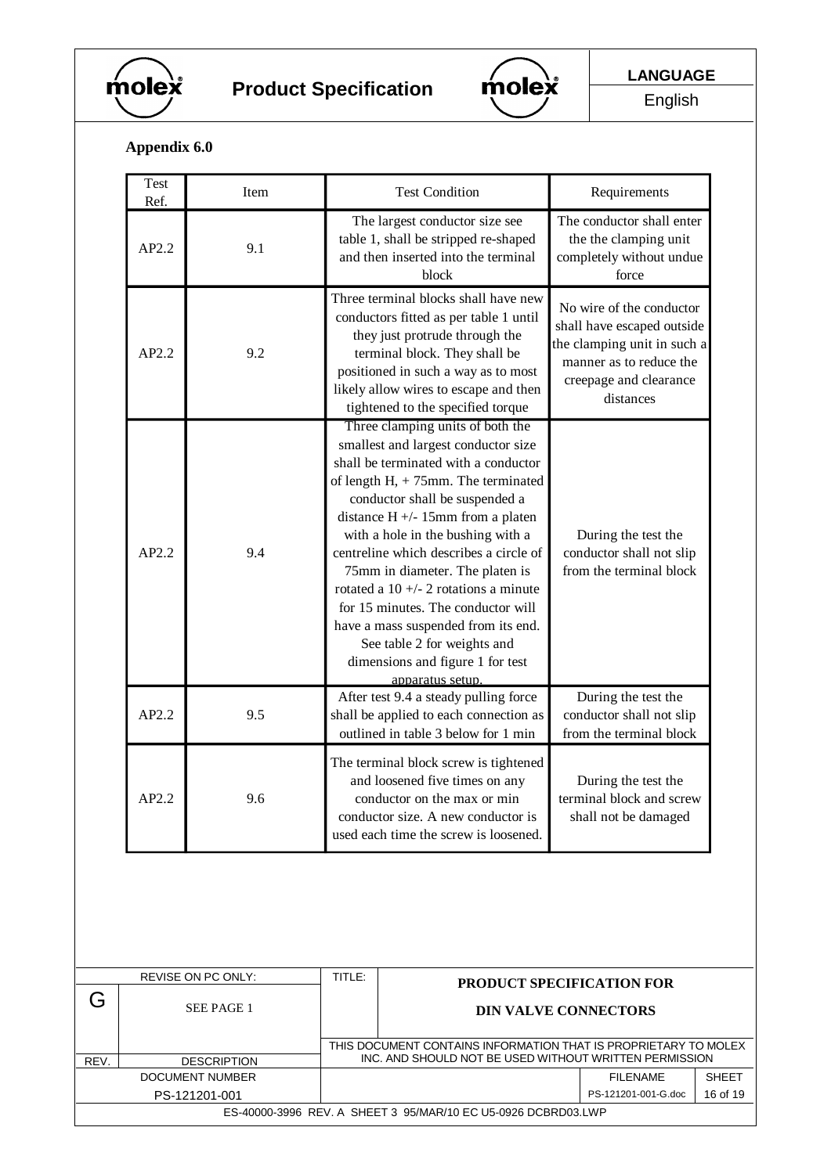



English

# **Appendix 6.0**

|      | <b>Test</b><br>Ref. | Item                   |                                                                                                                                                                                                                                                                                                                                                                                                                                                                                                                                                | <b>Test Condition</b>                                                                                                                                                                 |                                                                            | Requirements                                                                                                                                            |              |
|------|---------------------|------------------------|------------------------------------------------------------------------------------------------------------------------------------------------------------------------------------------------------------------------------------------------------------------------------------------------------------------------------------------------------------------------------------------------------------------------------------------------------------------------------------------------------------------------------------------------|---------------------------------------------------------------------------------------------------------------------------------------------------------------------------------------|----------------------------------------------------------------------------|---------------------------------------------------------------------------------------------------------------------------------------------------------|--------------|
|      | AP2.2               | 9.1                    | The largest conductor size see<br>table 1, shall be stripped re-shaped<br>and then inserted into the terminal<br>block                                                                                                                                                                                                                                                                                                                                                                                                                         |                                                                                                                                                                                       |                                                                            | The conductor shall enter<br>the the clamping unit<br>completely without undue<br>force                                                                 |              |
|      | AP2.2               | 9.2                    | Three terminal blocks shall have new<br>conductors fitted as per table 1 until<br>they just protrude through the<br>terminal block. They shall be<br>positioned in such a way as to most<br>likely allow wires to escape and then<br>tightened to the specified torque                                                                                                                                                                                                                                                                         |                                                                                                                                                                                       |                                                                            | No wire of the conductor<br>shall have escaped outside<br>the clamping unit in such a<br>manner as to reduce the<br>creepage and clearance<br>distances |              |
|      | AP2.2               | 9.4                    | Three clamping units of both the<br>smallest and largest conductor size<br>shall be terminated with a conductor<br>of length $H1 + 75$ mm. The terminated<br>conductor shall be suspended a<br>distance $H +/- 15$ mm from a platen<br>with a hole in the bushing with a<br>centreline which describes a circle of<br>75mm in diameter. The platen is<br>rotated a 10 +/- 2 rotations a minute<br>for 15 minutes. The conductor will<br>have a mass suspended from its end.<br>See table 2 for weights and<br>dimensions and figure 1 for test |                                                                                                                                                                                       | During the test the<br>conductor shall not slip<br>from the terminal block |                                                                                                                                                         |              |
|      | AP2.2               | 9.5                    |                                                                                                                                                                                                                                                                                                                                                                                                                                                                                                                                                | apparatus setup.<br>After test 9.4 a steady pulling force<br>shall be applied to each connection as<br>outlined in table 3 below for 1 min                                            |                                                                            | During the test the<br>conductor shall not slip<br>from the terminal block                                                                              |              |
|      | AP2.2               | 9.6                    |                                                                                                                                                                                                                                                                                                                                                                                                                                                                                                                                                | The terminal block screw is tightened<br>and loosened five times on any<br>conductor on the max or min<br>conductor size. A new conductor is<br>used each time the screw is loosened. |                                                                            | During the test the<br>terminal block and screw<br>shall not be damaged                                                                                 |              |
|      |                     |                        | TITLE:                                                                                                                                                                                                                                                                                                                                                                                                                                                                                                                                         |                                                                                                                                                                                       |                                                                            |                                                                                                                                                         |              |
| G    |                     | REVISE ON PC ONLY:     |                                                                                                                                                                                                                                                                                                                                                                                                                                                                                                                                                | PRODUCT SPECIFICATION FOR                                                                                                                                                             |                                                                            |                                                                                                                                                         |              |
|      |                     | SEE PAGE 1             |                                                                                                                                                                                                                                                                                                                                                                                                                                                                                                                                                | <b>DIN VALVE CONNECTORS</b>                                                                                                                                                           |                                                                            |                                                                                                                                                         |              |
| REV. |                     | <b>DESCRIPTION</b>     |                                                                                                                                                                                                                                                                                                                                                                                                                                                                                                                                                | THIS DOCUMENT CONTAINS INFORMATION THAT IS PROPRIETARY TO MOLEX<br>INC. AND SHOULD NOT BE USED WITHOUT WRITTEN PERMISSION                                                             |                                                                            |                                                                                                                                                         |              |
|      |                     | <b>DOCUMENT NUMBER</b> |                                                                                                                                                                                                                                                                                                                                                                                                                                                                                                                                                |                                                                                                                                                                                       |                                                                            | <b>FILENAME</b>                                                                                                                                         | <b>SHEET</b> |
|      |                     | PS-121201-001          |                                                                                                                                                                                                                                                                                                                                                                                                                                                                                                                                                | ES-40000-3996 REV. A SHEET 3 95/MAR/10 EC U5-0926 DCBRD03.LWP                                                                                                                         |                                                                            | PS-121201-001-G.doc                                                                                                                                     | 16 of 19     |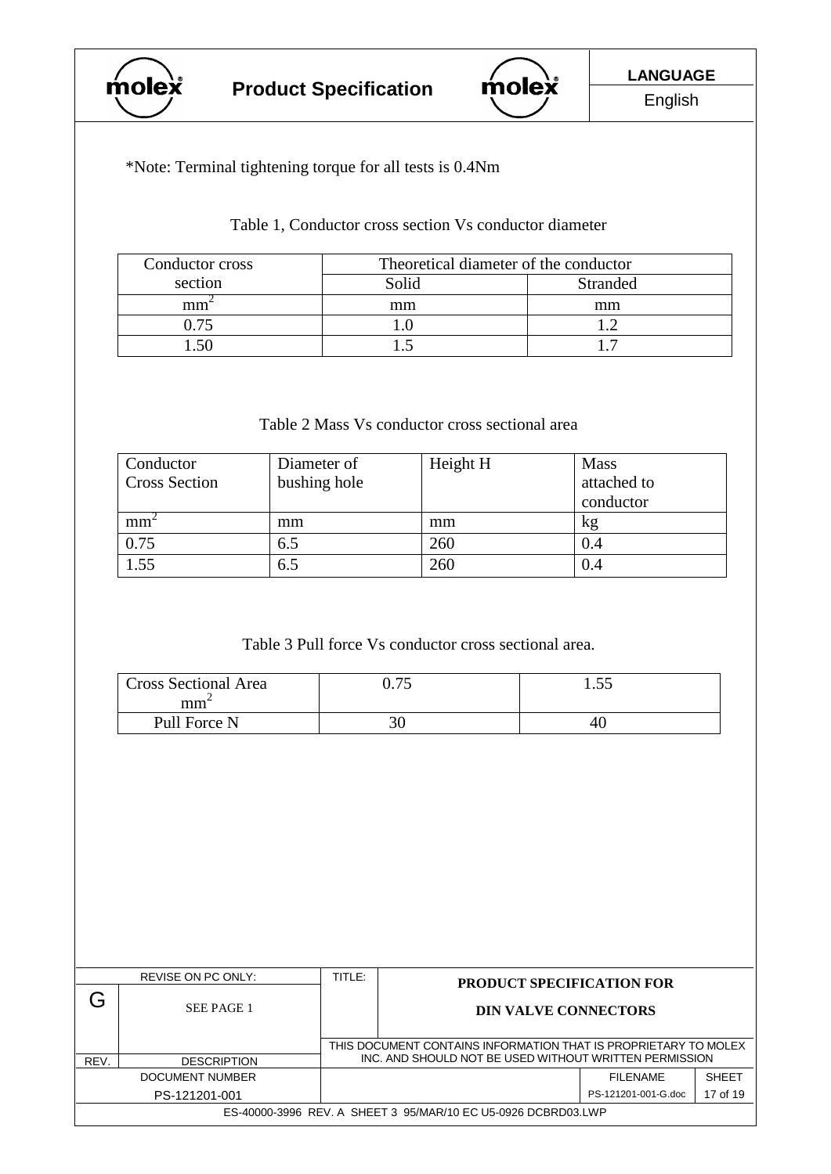



\*Note: Terminal tightening torque for all tests is 0.4Nm

Table 1, Conductor cross section Vs conductor diameter

| Conductor cross | Theoretical diameter of the conductor |                 |
|-----------------|---------------------------------------|-----------------|
| section         | Solid                                 | <b>Stranded</b> |
| mm              | mm                                    | mm              |
| በ 75            |                                       |                 |
|                 |                                       |                 |

#### Table 2 Mass Vs conductor cross sectional area

| Conductor<br><b>Cross Section</b> | Diameter of<br>bushing hole | Height H | <b>Mass</b><br>attached to<br>conductor |
|-----------------------------------|-----------------------------|----------|-----------------------------------------|
| mm <sup>2</sup>                   | mm                          | mm       | kg                                      |
| 0.75                              | 6.5                         | 260      | 0.4                                     |
| 1.55                              | 6.5                         | 260      | 0.4                                     |

Table 3 Pull force Vs conductor cross sectional area.

| <b>Cross Sectional Area</b><br>mm | ∩ ⁊<     | 1.J. |
|-----------------------------------|----------|------|
| Pull Force N                      | 77<br>υc | 46   |

|                                                               | REVISE ON PC ONLY: | TITLE:                                                                                                                    | <b>PRODUCT SPECIFICATION FOR</b> |                     |              |
|---------------------------------------------------------------|--------------------|---------------------------------------------------------------------------------------------------------------------------|----------------------------------|---------------------|--------------|
|                                                               | SEE PAGE 1         |                                                                                                                           | <b>DIN VALVE CONNECTORS</b>      |                     |              |
| REV.                                                          | <b>DESCRIPTION</b> | THIS DOCUMENT CONTAINS INFORMATION THAT IS PROPRIETARY TO MOLEX<br>INC. AND SHOULD NOT BE USED WITHOUT WRITTEN PERMISSION |                                  |                     |              |
|                                                               | DOCUMENT NUMBER    |                                                                                                                           |                                  | <b>FII FNAMF</b>    | <b>SHEET</b> |
|                                                               | PS-121201-001      |                                                                                                                           |                                  | PS-121201-001-G.doc | 17 of 19     |
| ES-40000-3996 REV. A SHEET 3 95/MAR/10 EC U5-0926 DCBRD03.LWP |                    |                                                                                                                           |                                  |                     |              |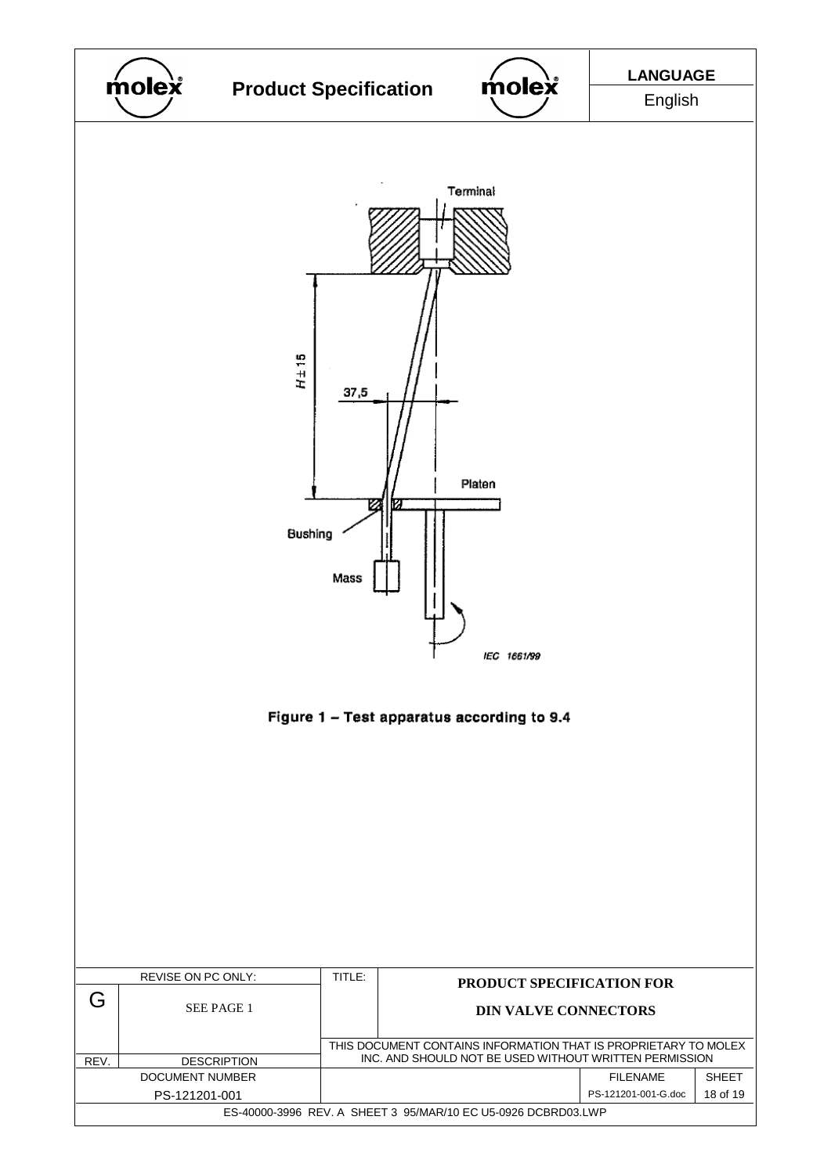